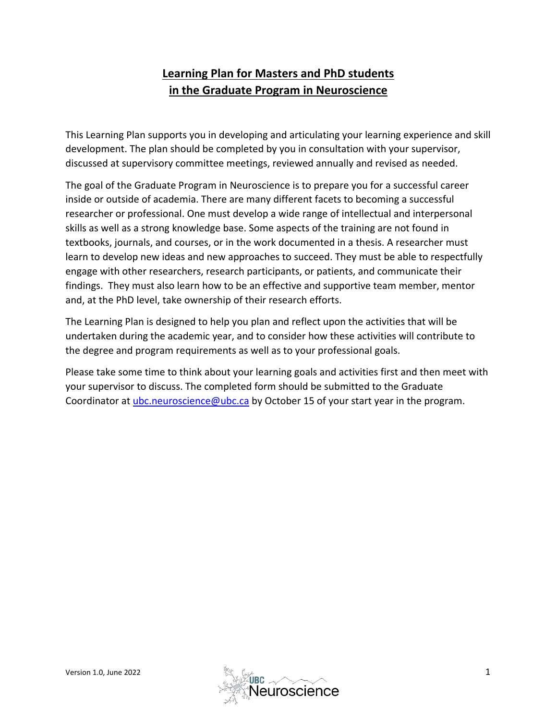# **Learning Plan for Masters and PhD students in the Graduate Program in Neuroscience**

This Learning Plan supports you in developing and articulating your learning experience and skill development. The plan should be completed by you in consultation with your supervisor, discussed at supervisory committee meetings, reviewed annually and revised as needed.

The goal of the Graduate Program in Neuroscience is to prepare you for a successful career inside or outside of academia. There are many different facets to becoming a successful researcher or professional. One must develop a wide range of intellectual and interpersonal skills as well as a strong knowledge base. Some aspects of the training are not found in textbooks, journals, and courses, or in the work documented in a thesis. A researcher must learn to develop new ideas and new approaches to succeed. They must be able to respectfully engage with other researchers, research participants, or patients, and communicate their findings. They must also learn how to be an effective and supportive team member, mentor and, at the PhD level, take ownership of their research efforts.

The Learning Plan is designed to help you plan and reflect upon the activities that will be undertaken during the academic year, and to consider how these activities will contribute to the degree and program requirements as well as to your professional goals.

Please take some time to think about your learning goals and activities first and then meet with your supervisor to discuss. The completed form should be submitted to the Graduate Coordinator at [ubc.neuroscience@ubc.ca](mailto:ubc.neuroscience@ubc.ca) by October 15 of your start year in the program.

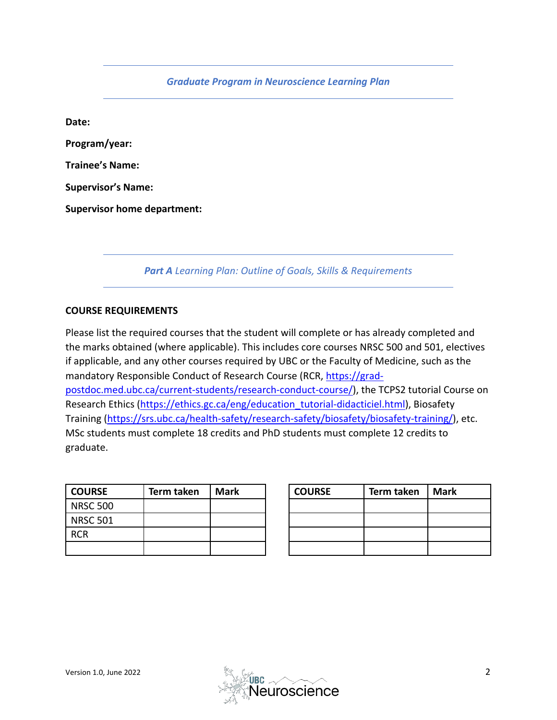*Graduate Program in Neuroscience Learning Plan*

**Date: Program/year: Trainee's Name: Supervisor's Name: Supervisor home department:**

*Part A Learning Plan: Outline of Goals, Skills & Requirements*

#### **COURSE REQUIREMENTS**

Please list the required courses that the student will complete or has already completed and the marks obtained (where applicable). This includes core courses NRSC 500 and 501, electives if applicable, and any other courses required by UBC or the Faculty of Medicine, such as the mandatory Responsible Conduct of Research Course (RCR, [https://grad](https://grad-postdoc.med.ubc.ca/current-students/research-conduct-course/)[postdoc.med.ubc.ca/current-students/research-conduct-course/\)](https://grad-postdoc.med.ubc.ca/current-students/research-conduct-course/), the TCPS2 tutorial Course on Research Ethics [\(https://ethics.gc.ca/eng/education\\_tutorial-didacticiel.html\)](https://ethics.gc.ca/eng/education_tutorial-didacticiel.html), Biosafety Training [\(https://srs.ubc.ca/health-safety/research-safety/biosafety/biosafety-training/\)](https://srs.ubc.ca/health-safety/research-safety/biosafety/biosafety-training/), etc. MSc students must complete 18 credits and PhD students must complete 12 credits to graduate.

| <b>COURSE</b>   | Term taken | <b>Mark</b> | <b>COURSE</b> | Term taken | <b>Mark</b> |
|-----------------|------------|-------------|---------------|------------|-------------|
| <b>NRSC 500</b> |            |             |               |            |             |
| <b>NRSC 501</b> |            |             |               |            |             |
| <b>RCR</b>      |            |             |               |            |             |
|                 |            |             |               |            |             |

| <b>COURSE</b> | Term taken | <b>Mark</b> |
|---------------|------------|-------------|
|               |            |             |
|               |            |             |
|               |            |             |
|               |            |             |

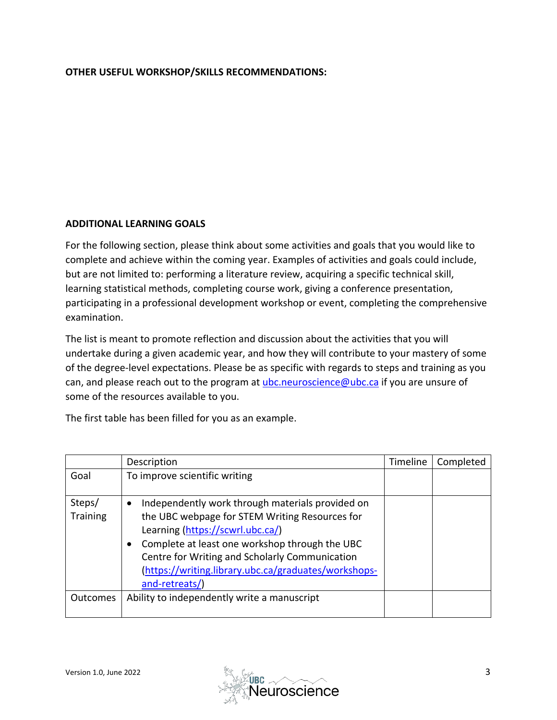### **OTHER USEFUL WORKSHOP/SKILLS RECOMMENDATIONS:**

#### **ADDITIONAL LEARNING GOALS**

For the following section, please think about some activities and goals that you would like to complete and achieve within the coming year. Examples of activities and goals could include, but are not limited to: performing a literature review, acquiring a specific technical skill, learning statistical methods, completing course work, giving a conference presentation, participating in a professional development workshop or event, completing the comprehensive examination.

The list is meant to promote reflection and discussion about the activities that you will undertake during a given academic year, and how they will contribute to your mastery of some of the degree-level expectations. Please be as specific with regards to steps and training as you can, and please reach out to the program at [ubc.neuroscience@ubc.ca](mailto:ubc.neuroscience@ubc.ca) if you are unsure of some of the resources available to you.

The first table has been filled for you as an example.

|                           | Description                                                                                                                                                                                                                                                                                                                       | Timeline | Completed |
|---------------------------|-----------------------------------------------------------------------------------------------------------------------------------------------------------------------------------------------------------------------------------------------------------------------------------------------------------------------------------|----------|-----------|
| Goal                      | To improve scientific writing                                                                                                                                                                                                                                                                                                     |          |           |
| Steps/<br><b>Training</b> | Independently work through materials provided on<br>$\bullet$<br>the UBC webpage for STEM Writing Resources for<br>Learning (https://scwrl.ubc.ca/)<br>Complete at least one workshop through the UBC<br>Centre for Writing and Scholarly Communication<br>(https://writing.library.ubc.ca/graduates/workshops-<br>and-retreats/) |          |           |
| <b>Outcomes</b>           | Ability to independently write a manuscript                                                                                                                                                                                                                                                                                       |          |           |

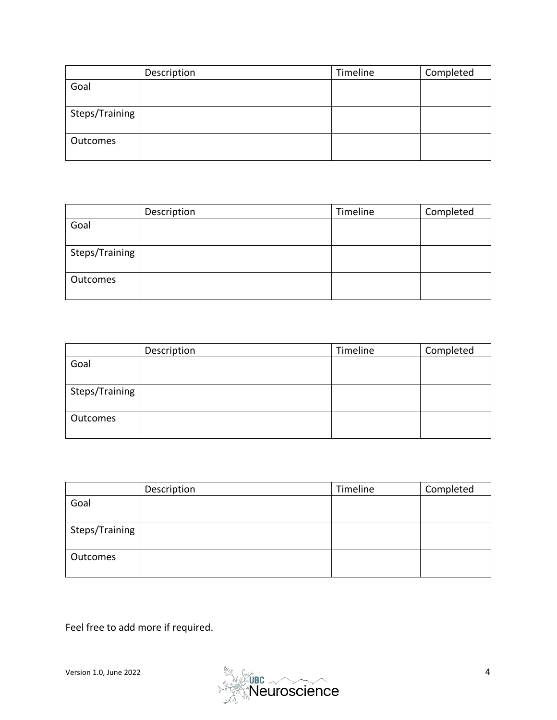|                | Description | Timeline | Completed |
|----------------|-------------|----------|-----------|
| Goal           |             |          |           |
|                |             |          |           |
| Steps/Training |             |          |           |
|                |             |          |           |
| Outcomes       |             |          |           |
|                |             |          |           |

|                | Description | Timeline | Completed |
|----------------|-------------|----------|-----------|
| Goal           |             |          |           |
|                |             |          |           |
| Steps/Training |             |          |           |
|                |             |          |           |
| Outcomes       |             |          |           |
|                |             |          |           |

|                | Description | Timeline | Completed |
|----------------|-------------|----------|-----------|
| Goal           |             |          |           |
|                |             |          |           |
| Steps/Training |             |          |           |
|                |             |          |           |
| Outcomes       |             |          |           |
|                |             |          |           |

|                | Description | Timeline | Completed |
|----------------|-------------|----------|-----------|
| Goal           |             |          |           |
|                |             |          |           |
| Steps/Training |             |          |           |
|                |             |          |           |
| Outcomes       |             |          |           |
|                |             |          |           |

Feel free to add more if required.